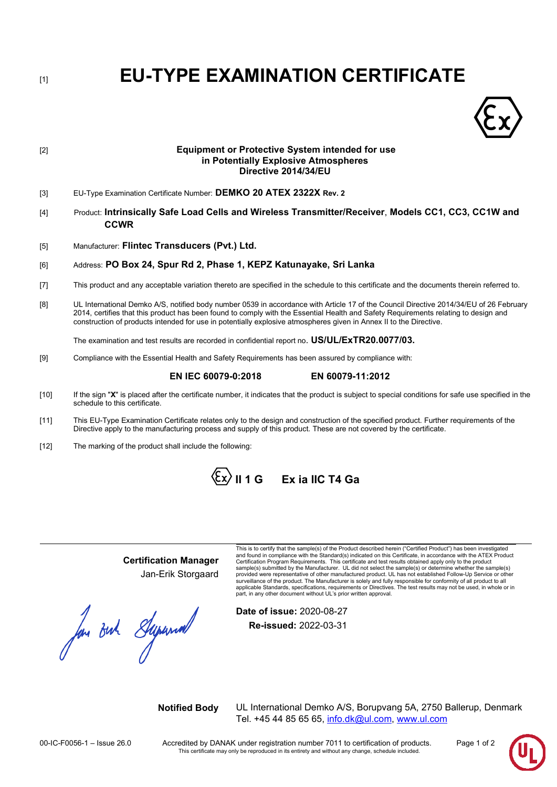[1] **EU-TYPE EXAMINATION CERTIFICATE**



# [2] **Equipment or Protective System intended for use in Potentially Explosive Atmospheres Directive 2014/34/EU**

- [3] EU-Type Examination Certificate Number: **DEMKO 20 ATEX 2322X Rev. 2**
- [4] Product: **Intrinsically Safe Load Cells and Wireless Transmitter/Receiver**, **Models CC1, CC3, CC1W and CCWR**
- [5] Manufacturer: **Flintec Transducers (Pvt.) Ltd.**

## [6] Address: **PO Box 24, Spur Rd 2, Phase 1, KEPZ Katunayake, Sri Lanka**

- [7] This product and any acceptable variation thereto are specified in the schedule to this certificate and the documents therein referred to.
- [8] UL International Demko A/S, notified body number 0539 in accordance with Article 17 of the Council Directive 2014/34/EU of 26 February 2014, certifies that this product has been found to comply with the Essential Health and Safety Requirements relating to design and construction of products intended for use in potentially explosive atmospheres given in Annex II to the Directive.

The examination and test results are recorded in confidential report no. **US/UL/ExTR20.0077/03.**

[9] Compliance with the Essential Health and Safety Requirements has been assured by compliance with:

# **EN IEC 60079-0:2018 EN 60079-11:2012**

- [10] If the sign "X" is placed after the certificate number, it indicates that the product is subject to special conditions for safe use specified in the schedule to this certificate.
- [11] This EU-Type Examination Certificate relates only to the design and construction of the specified product. Further requirements of the Directive apply to the manufacturing process and supply of this product. These are not covered by the certificate.
- [12] The marking of the product shall include the following:



# **Certification Manager**

Jan-Erik Storgaard

Jan But Supermal

This is to certify that the sample(s) of the Product described herein ("Certified Product") has been investigated and found in compliance with the Standard(s) indicated on this Certificate, in accordance with the ATEX Product Certification Program Requirements. This certificate and test results obtained apply only to the product sample(s) submitted by the Manufacturer. UL did not select the sample(s) or determine whether the sample(s)<br>provided were representative of other manufactured product. UL has not established Follow-Up Service or other surveillance of the product. The Manufacturer is solely and fully responsible for conformity of all product to all<br>applicable Standards, specifications, requirements or Directives. The test results may not be used, in whol

**Date of issue:** 2020-08-27 **Re-issued:** 2022-03-31

**Notified Body** UL International Demko A/S, Borupvang 5A, 2750 Ballerup, Denmark Tel. +45 44 85 65 65, [info.dk@ul.com,](mailto:info.dk@ul.com) [www.ul.com](http://www.ul.com/)

00-IC-F0056-1 – Issue 26.0 Accredited by DANAK under registration number 7011 to certification of products. Page 1 of 2<br>This certificate may only be reproduced in its entirety and without any change, schedule included.